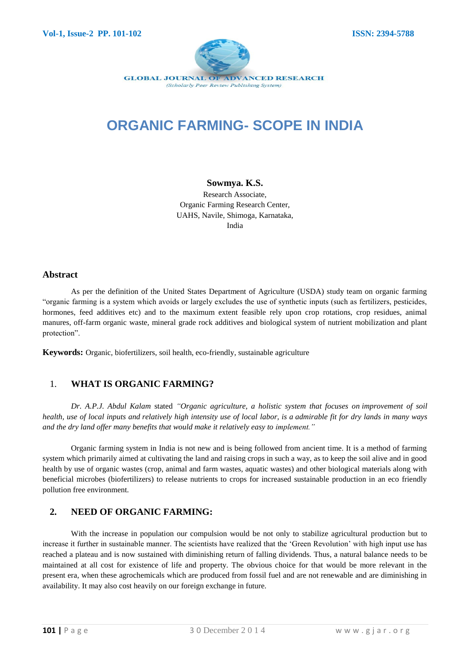

# **ORGANIC FARMING- SCOPE IN INDIA**

#### **Sowmya. K.S.**

Research Associate, Organic Farming Research Center, UAHS, Navile, Shimoga, Karnataka, India

#### **Abstract**

As per the definition of the United States Department of Agriculture (USDA) study team on organic farming "organic farming is a system which avoids or largely excludes the use of synthetic inputs (such as fertilizers, pesticides, hormones, feed additives etc) and to the maximum extent feasible rely upon crop rotations, crop residues, animal manures, off-farm organic waste, mineral grade rock additives and biological system of nutrient mobilization and plant protection".

**Keywords:** Organic, biofertilizers, soil health, eco-friendly, sustainable agriculture

### 1. **WHAT IS ORGANIC FARMING?**

*Dr. A.P.J. Abdul Kalam* stated *"Organic agriculture, a holistic system that focuses on improvement of soil health, use of local inputs and relatively high intensity use of local labor, is a admirable fit for dry lands in many ways and the dry land offer many benefits that would make it relatively easy to implement."*

Organic farming system in India is not new and is being followed from ancient time. It is a method of farming system which primarily aimed at cultivating the land and raising crops in such a way, as to keep the soil alive and in good health by use of organic wastes (crop, animal and farm wastes, aquatic wastes) and other biological materials along with beneficial microbes (biofertilizers) to release nutrients to crops for increased sustainable production in an eco friendly pollution free environment.

### **2. NEED OF ORGANIC FARMING:**

With the increase in population our compulsion would be not only to stabilize agricultural production but to increase it further in sustainable manner. The scientists have realized that the "Green Revolution" with high input use has reached a plateau and is now sustained with diminishing return of falling dividends. Thus, a natural balance needs to be maintained at all cost for existence of life and property. The obvious choice for that would be more relevant in the present era, when these agrochemicals which are produced from fossil fuel and are not renewable and are diminishing in availability. It may also cost heavily on our foreign exchange in future.